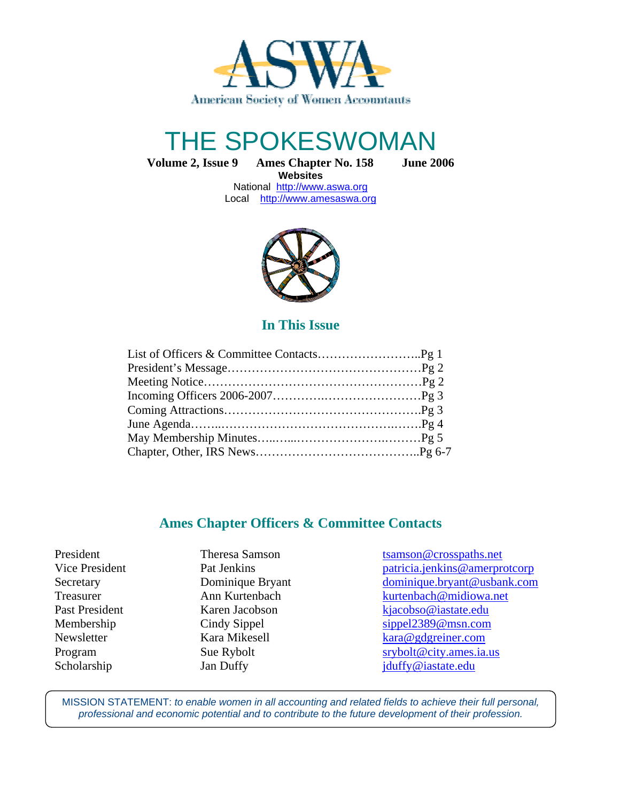

# THE SPOKESWOMAN

**Volume 2, Issue 9 Ames Chapter No. 158 June 2006**

**Websites**  National http://www.aswa.org Local http://www.amesaswa.org



**In This Issue** 

## **Ames Chapter Officers & Committee Contacts**

Ī

President Theresa Samson tsamson transmospaths.net Vice President Pat Jenkins Pat Veneticia.jenkins @amerprotcorp Secretary Dominique Bryant dominique.bryant @usbank.com Treasurer Ann Kurtenbach kurtenbach **Russell** kurtenbach **@midiowa.net** Past President Karen Jacobson kjacobso@iastate.edu Membership Cindy Sippel Sippel sippel 2389@msn.com Newsletter Kara Mikesell kara@gdgreiner.com Program Sue Rybolt srybolt srybolt example strike strategies strategies and strike strategies structure structure structure structure structure structure structure structure structure structure structure structure structur Scholarship Jan Duffy Jan Duffy jduffy@iastate.edu

MISSION STATEMENT: to enable women in all accounting and related fields to achieve their full personal, professional and economic potential and to contribute to the future development of their profession.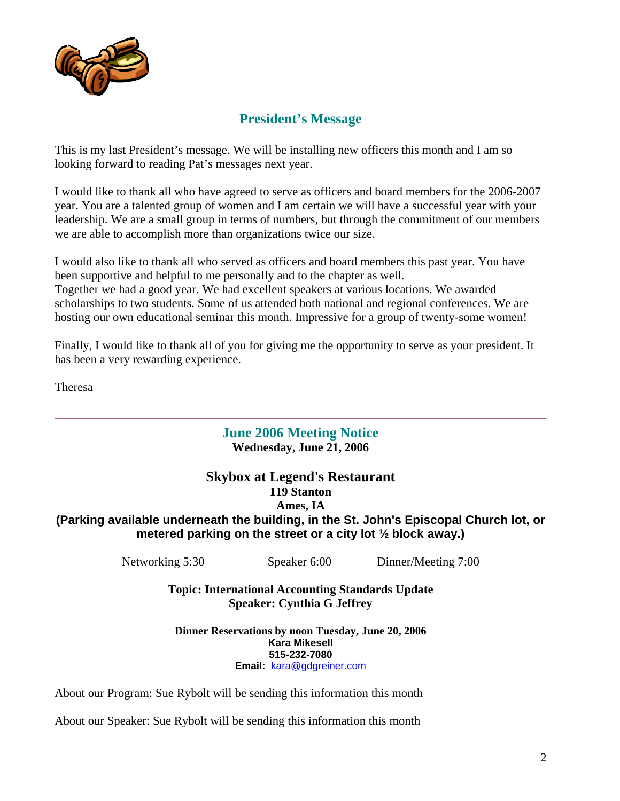

## **President's Message**

This is my last President's message. We will be installing new officers this month and I am so looking forward to reading Pat's messages next year.

I would like to thank all who have agreed to serve as officers and board members for the 2006-2007 year. You are a talented group of women and I am certain we will have a successful year with your leadership. We are a small group in terms of numbers, but through the commitment of our members we are able to accomplish more than organizations twice our size.

I would also like to thank all who served as officers and board members this past year. You have been supportive and helpful to me personally and to the chapter as well. Together we had a good year. We had excellent speakers at various locations. We awarded scholarships to two students. Some of us attended both national and regional conferences. We are hosting our own educational seminar this month. Impressive for a group of twenty-some women!

Finally, I would like to thank all of you for giving me the opportunity to serve as your president. It has been a very rewarding experience.

Theresa

#### **June 2006 Meeting Notice Wednesday, June 21, 2006**

#### **Skybox at Legend's Restaurant 119 Stanton Ames, IA (Parking available underneath the building, in the St. John's Episcopal Church lot, or metered parking on the street or a city lot ½ block away.)**

Networking 5:30 Speaker 6:00 Dinner/Meeting 7:00

**Topic: International Accounting Standards Update Speaker: Cynthia G Jeffrey** 

**Dinner Reservations by noon Tuesday, June 20, 2006 Kara Mikesell 515-232-7080 Email:** kara@gdgreiner.com

About our Program: Sue Rybolt will be sending this information this month

About our Speaker: Sue Rybolt will be sending this information this month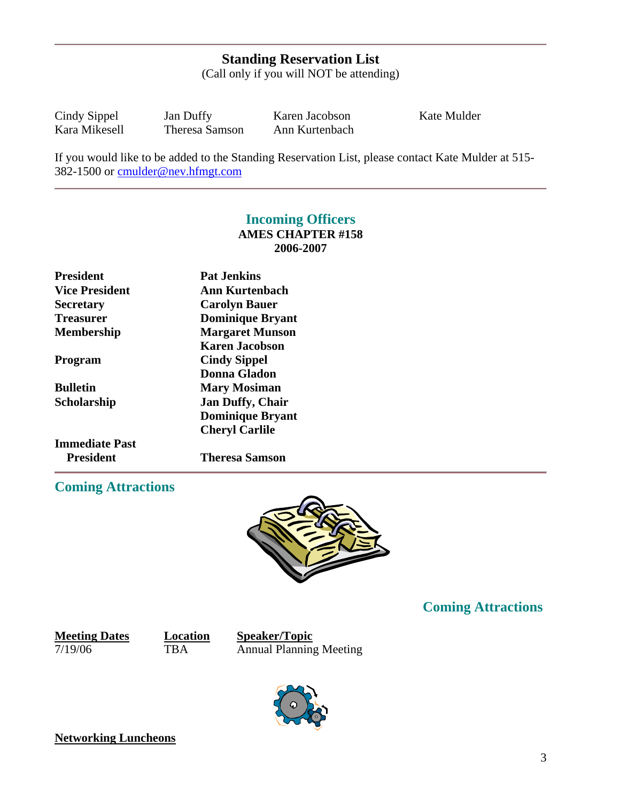## **Standing Reservation List**

(Call only if you will NOT be attending)

Cindy Sippel Jan Duffy Karen Jacobson Kate Mulder<br>
Kara Mikesell Theresa Samson Ann Kurtenbach Theresa Samson Ann Kurtenbach

If you would like to be added to the Standing Reservation List, please contact Kate Mulder at 515- 382-1500 or cmulder@nev.hfmgt.com

## **Incoming Officers AMES CHAPTER #158 2006-2007**

| <b>President</b>      | <b>Pat Jenkins</b>      |  |
|-----------------------|-------------------------|--|
| <b>Vice President</b> | Ann Kurtenbach          |  |
| <b>Secretary</b>      | <b>Carolyn Bauer</b>    |  |
| Treasurer             | <b>Dominique Bryant</b> |  |
| <b>Membership</b>     | <b>Margaret Munson</b>  |  |
|                       | <b>Karen Jacobson</b>   |  |
| Program               | <b>Cindy Sippel</b>     |  |
|                       | Donna Gladon            |  |
| <b>Bulletin</b>       | <b>Mary Mosiman</b>     |  |
| Scholarship           | <b>Jan Duffy, Chair</b> |  |
|                       | <b>Dominique Bryant</b> |  |
|                       | <b>Cheryl Carlile</b>   |  |
| <b>Immediate Past</b> |                         |  |
| President             | <b>Theresa Samson</b>   |  |

## **Coming Attractions**



## **Coming Attractions**

**Meeting Dates Location Speaker/Topic** 7/19/06 TBA Annual Planning Meeting



**Networking Luncheons**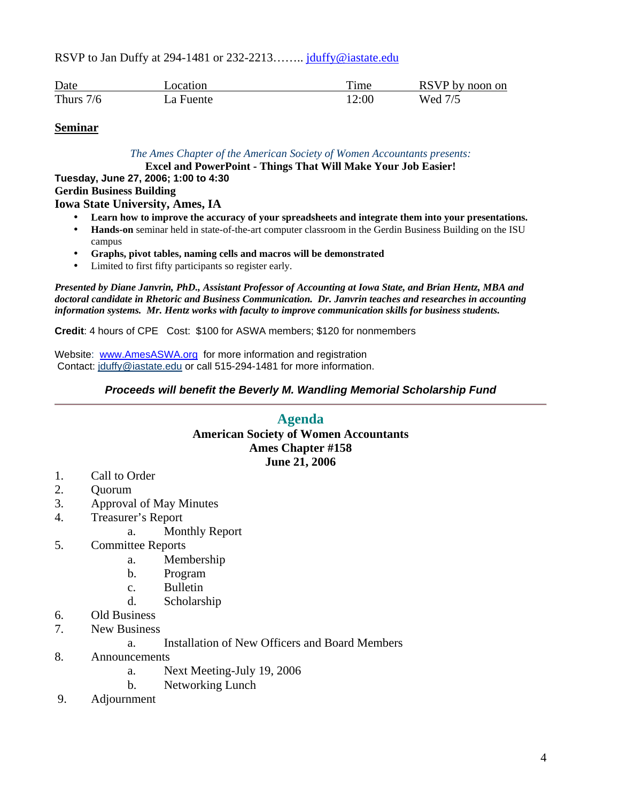RSVP to Jan Duffy at 294-1481 or 232-2213........ jduffy@iastate.edu

| Date        | ocation_  | . ime | RSVP by noon on |
|-------------|-----------|-------|-----------------|
| Thurs $7/6$ | La Fuente | 12:00 | Wed 7/5         |

#### **Seminar**

*The Ames Chapter of the American Society of Women Accountants presents:*

**Excel and PowerPoint - Things That Will Make Your Job Easier!**

**Tuesday, June 27, 2006; 1:00 to 4:30 Gerdin Business Building Iowa State University, Ames, IA**

- **Learn how to improve the accuracy of your spreadsheets and integrate them into your presentations.**
- **Hands-on** seminar held in state-of-the-art computer classroom in the Gerdin Business Building on the ISU campus
- **Graphs, pivot tables, naming cells and macros will be demonstrated**
- Limited to first fifty participants so register early.

*Presented by Diane Janvrin, PhD., Assistant Professor of Accounting at Iowa State, and Brian Hentz, MBA and doctoral candidate in Rhetoric and Business Communication. Dr. Janvrin teaches and researches in accounting information systems. Mr. Hentz works with faculty to improve communication skills for business students.*

**Credit**: 4 hours of CPE Cost: \$100 for ASWA members; \$120 for nonmembers

Website: www.AmesASWA.org for more information and registration Contact: jduffy@iastate.edu or call 515-294-1481 for more information.

#### **Proceeds will benefit the Beverly M. Wandling Memorial Scholarship Fund**

#### **Agenda American Society of Women Accountants Ames Chapter #158 June 21, 2006**

- 1. Call to Order
- 2. Quorum
- 3. Approval of May Minutes
- 4. Treasurer's Report
	- a. Monthly Report
- 5. Committee Reports
	- a. Membership
	- b. Program
	- c. Bulletin
	- d. Scholarship
- 6. Old Business
- 7. New Business
	- a. Installation of New Officers and Board Members
- 8. Announcements
	- a. Next Meeting-July 19, 2006
	- b. Networking Lunch
- 9. Adjournment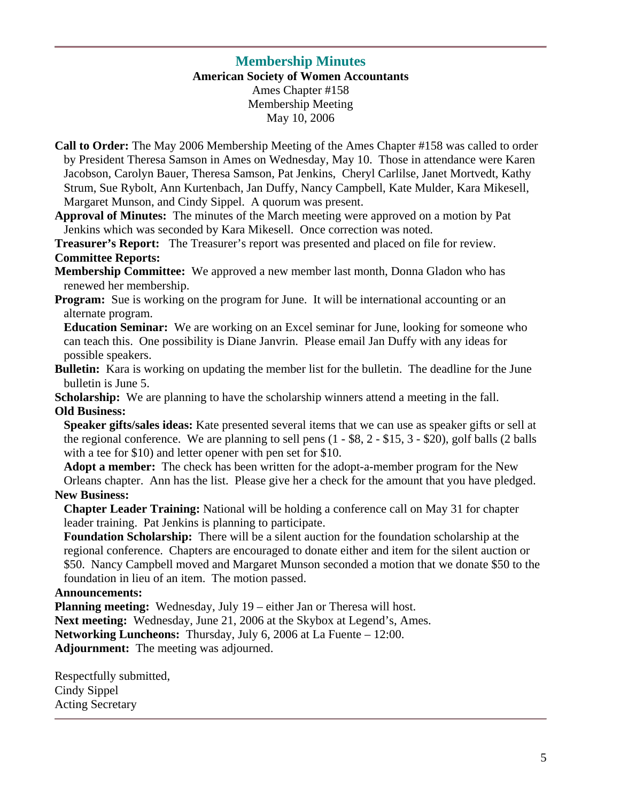## **Membership Minutes**

**American Society of Women Accountants** 

Ames Chapter #158 Membership Meeting May 10, 2006

- **Call to Order:** The May 2006 Membership Meeting of the Ames Chapter #158 was called to order by President Theresa Samson in Ames on Wednesday, May 10. Those in attendance were Karen Jacobson, Carolyn Bauer, Theresa Samson, Pat Jenkins, Cheryl Carlilse, Janet Mortvedt, Kathy Strum, Sue Rybolt, Ann Kurtenbach, Jan Duffy, Nancy Campbell, Kate Mulder, Kara Mikesell, Margaret Munson, and Cindy Sippel. A quorum was present.
- **Approval of Minutes:** The minutes of the March meeting were approved on a motion by Pat Jenkins which was seconded by Kara Mikesell. Once correction was noted.

**Treasurer's Report:** The Treasurer's report was presented and placed on file for review. **Committee Reports:** 

**Membership Committee:** We approved a new member last month, Donna Gladon who has renewed her membership.

**Program:** Sue is working on the program for June. It will be international accounting or an alternate program.

 **Education Seminar:** We are working on an Excel seminar for June, looking for someone who can teach this. One possibility is Diane Janvrin. Please email Jan Duffy with any ideas for possible speakers.

**Bulletin:** Kara is working on updating the member list for the bulletin. The deadline for the June bulletin is June 5.

**Scholarship:** We are planning to have the scholarship winners attend a meeting in the fall. **Old Business:**

**Speaker gifts/sales ideas:** Kate presented several items that we can use as speaker gifts or sell at the regional conference. We are planning to sell pens (1 - \$8, 2 - \$15, 3 - \$20), golf balls (2 balls with a tee for \$10) and letter opener with pen set for \$10.

 **Adopt a member:** The check has been written for the adopt-a-member program for the New Orleans chapter. Ann has the list. Please give her a check for the amount that you have pledged. **New Business:** 

**Chapter Leader Training:** National will be holding a conference call on May 31 for chapter leader training. Pat Jenkins is planning to participate.

**Foundation Scholarship:** There will be a silent auction for the foundation scholarship at the regional conference. Chapters are encouraged to donate either and item for the silent auction or \$50. Nancy Campbell moved and Margaret Munson seconded a motion that we donate \$50 to the foundation in lieu of an item. The motion passed.

#### **Announcements:**

**Planning meeting:** Wednesday, July 19 – either Jan or Theresa will host.

**Next meeting:** Wednesday, June 21, 2006 at the Skybox at Legend's, Ames.

**Networking Luncheons:** Thursday, July 6, 2006 at La Fuente – 12:00.

**Adjournment:** The meeting was adjourned.

Respectfully submitted, Cindy Sippel Acting Secretary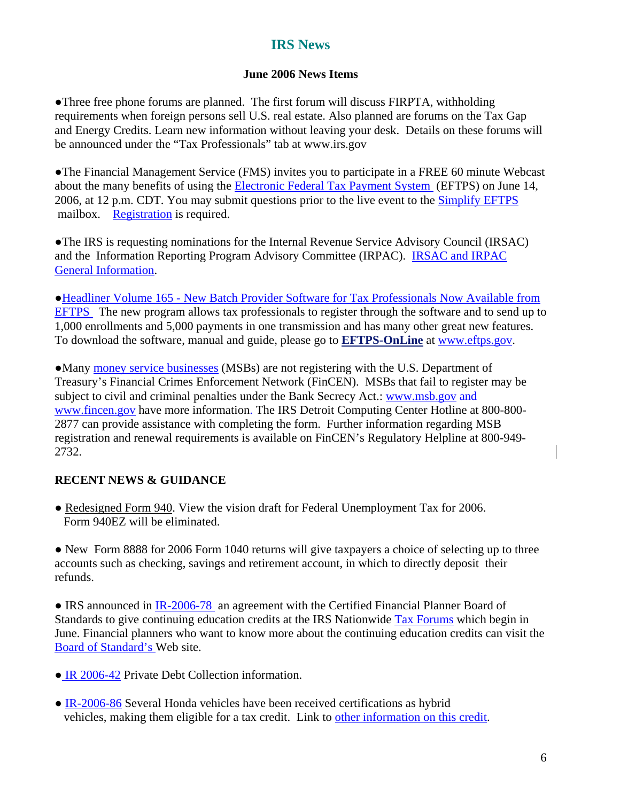## **IRS News**

#### **June 2006 News Items**

●Three free phone forums are planned. The first forum will discuss FIRPTA, withholding requirements when foreign persons sell U.S. real estate. Also planned are forums on the Tax Gap and Energy Credits. Learn new information without leaving your desk. Details on these forums will be announced under the "Tax Professionals" tab at www.irs.gov

●The Financial Management Service (FMS) invites you to participate in a FREE 60 minute Webcast about the many benefits of using the Electronic Federal Tax Payment System (EFTPS) on June 14, 2006, at 12 p.m. CDT. You may submit questions prior to the live event to the Simplify EFTPS mailbox. Registration is required.

●The IRS is requesting nominations for the Internal Revenue Service Advisory Council (IRSAC) and the Information Reporting Program Advisory Committee (IRPAC). IRSAC and IRPAC General Information.

●Headliner Volume 165 - New Batch Provider Software for Tax Professionals Now Available from EFTPS The new program allows tax professionals to register through the software and to send up to 1,000 enrollments and 5,000 payments in one transmission and has many other great new features. To download the software, manual and guide, please go to **EFTPS-OnLine** at www.eftps.gov.

●Many money service businesses (MSBs) are not registering with the U.S. Department of Treasury's Financial Crimes Enforcement Network (FinCEN). MSBs that fail to register may be subject to civil and criminal penalties under the Bank Secrecy Act.: www.msb.gov and www.fincen.gov have more information. The IRS Detroit Computing Center Hotline at 800-800- 2877 can provide assistance with completing the form. Further information regarding MSB registration and renewal requirements is available on FinCEN's Regulatory Helpline at 800-949- 2732.

## **RECENT NEWS & GUIDANCE**

• Redesigned Form 940. View the vision draft for Federal Unemployment Tax for 2006. Form 940EZ will be eliminated.

• New Form 8888 for 2006 Form 1040 returns will give taxpayers a choice of selecting up to three accounts such as checking, savings and retirement account, in which to directly deposit their refunds.

• IRS announced in IR-2006-78 an agreement with the Certified Financial Planner Board of Standards to give continuing education credits at the IRS Nationwide Tax Forums which begin in June. Financial planners who want to know more about the continuing education credits can visit the Board of Standard's Web site.

- IR 2006-42 Private Debt Collection information.
- IR-2006-86 Several Honda vehicles have been received certifications as hybrid vehicles, making them eligible for a tax credit. Link to other information on this credit.